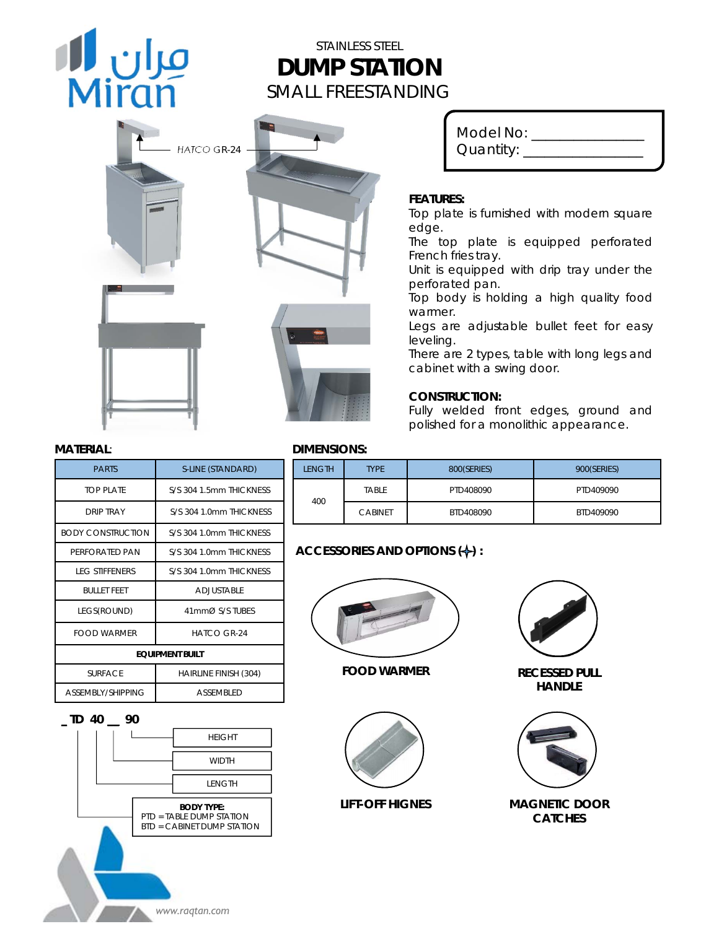# مران الله<br>Miran

# STAINLESS STEEL **DUMP STATION** SMALL FREESTANDING

| B<br>HATCO GR-24 |   |
|------------------|---|
|                  | ø |

| Model No:        |  |
|------------------|--|
|                  |  |
| Quantity: $\_\_$ |  |
|                  |  |
|                  |  |

#### **FEATURES:**

Top plate is furnished with modern square edge.

The top plate is equipped perforated French fries tray.

Unit is equipped with drip tray under the perforated pan.

Top body is holding a high quality food warmer.

Legs are adjustable bullet feet for easy leveling.

There are 2 types, table with long legs and cabinet with a swing door.

#### **CONSTRUCTION:**

Fully welded front edges, ground and polished for a monolithic appearance.

| <b>PARTS</b>             | S-LINE (STANDARD)            |  |
|--------------------------|------------------------------|--|
| TOP PI ATF               | S/S 304 1 5mm THICKNESS      |  |
| <b>DRIP TRAY</b>         | S/S 304 1.0mm THICKNESS      |  |
| <b>BODY CONSTRUCTION</b> | S/S 304 1 0mm THICKNESS      |  |
| PERFORATED PAN           | S/S 304 1 0mm THICKNESS      |  |
| <b>LEG STIFFENERS</b>    | S/S 304 1.0mm THICKNESS      |  |
| <b>BULLET FFFT</b>       | ADJUSTABLE                   |  |
| LEGS(ROUND)              | 41mmØ S/S TUBES              |  |
| FOOD WARMER              | $HATCO$ GR-24                |  |
| <b>EQUIPMENT BUILT</b>   |                              |  |
| <b>SURFACE</b>           | <b>HAIRLINE FINISH (304)</b> |  |
| ASSEMBLY/SHIPPING        | <b>ASSEMBLED</b>             |  |
|                          |                              |  |



#### **MATERIAL**: **DIMENSIONS:**

| LENGTH | <b>TYPE</b>    | 800(SERIES) | 900(SERIES) |
|--------|----------------|-------------|-------------|
| 400    | TABLE          | PTD408090   | PTD409090   |
|        | <b>CABINET</b> | BTD408090   | BTD409090   |

### **ACCESSORIES AND OPTIONS (+):**



#### **FOOD WARMER**



#### **LIFT-OFF HIGNES**



**RECESSED PULL HANDLE**



#### **MAGNETIC DOOR CATCHES**